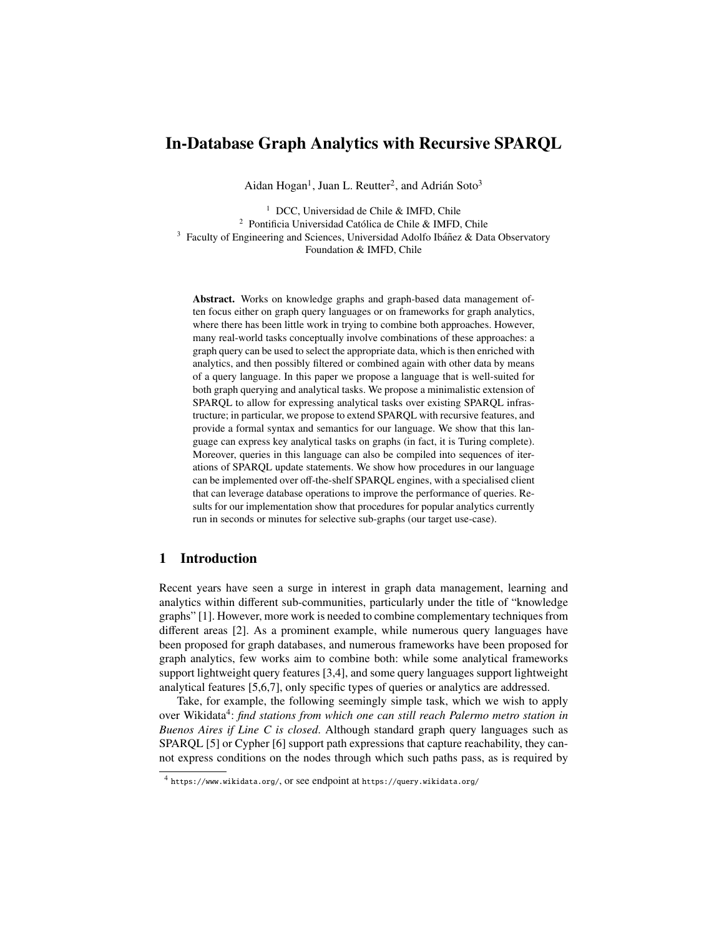# In-Database Graph Analytics with Recursive SPARQL

Aidan Hogan<sup>1</sup>, Juan L. Reutter<sup>2</sup>, and Adrián Soto<sup>3</sup>

<sup>1</sup> DCC, Universidad de Chile & IMFD, Chile <sup>2</sup> Pontificia Universidad Catolica de Chile & IMFD, Chile ´  $3$  Faculty of Engineering and Sciences, Universidad Adolfo Ibáñez & Data Observatory Foundation & IMFD, Chile

Abstract. Works on knowledge graphs and graph-based data management often focus either on graph query languages or on frameworks for graph analytics, where there has been little work in trying to combine both approaches. However, many real-world tasks conceptually involve combinations of these approaches: a graph query can be used to select the appropriate data, which is then enriched with analytics, and then possibly filtered or combined again with other data by means of a query language. In this paper we propose a language that is well-suited for both graph querying and analytical tasks. We propose a minimalistic extension of SPARQL to allow for expressing analytical tasks over existing SPARQL infrastructure; in particular, we propose to extend SPARQL with recursive features, and provide a formal syntax and semantics for our language. We show that this language can express key analytical tasks on graphs (in fact, it is Turing complete). Moreover, queries in this language can also be compiled into sequences of iterations of SPARQL update statements. We show how procedures in our language can be implemented over off-the-shelf SPARQL engines, with a specialised client that can leverage database operations to improve the performance of queries. Results for our implementation show that procedures for popular analytics currently run in seconds or minutes for selective sub-graphs (our target use-case).

# 1 Introduction

Recent years have seen a surge in interest in graph data management, learning and analytics within different sub-communities, particularly under the title of "knowledge graphs" [\[1\]](#page-15-0). However, more work is needed to combine complementary techniques from different areas [\[2\]](#page-15-1). As a prominent example, while numerous query languages have been proposed for graph databases, and numerous frameworks have been proposed for graph analytics, few works aim to combine both: while some analytical frameworks support lightweight query features [\[3,](#page-15-2)[4\]](#page-15-3), and some query languages support lightweight analytical features [\[5](#page-15-4)[,6](#page-15-5)[,7\]](#page-15-6), only specific types of queries or analytics are addressed.

Take, for example, the following seemingly simple task, which we wish to apply over Wikidata<sup>[4](#page-0-0)</sup>: find stations from which one can still reach Palermo metro station in *Buenos Aires if Line C is closed*. Although standard graph query languages such as SPARQL [\[5\]](#page-15-4) or Cypher [\[6\]](#page-15-5) support path expressions that capture reachability, they cannot express conditions on the nodes through which such paths pass, as is required by

<span id="page-0-0"></span><sup>4</sup> <https://www.wikidata.org/>, or see endpoint at <https://query.wikidata.org/>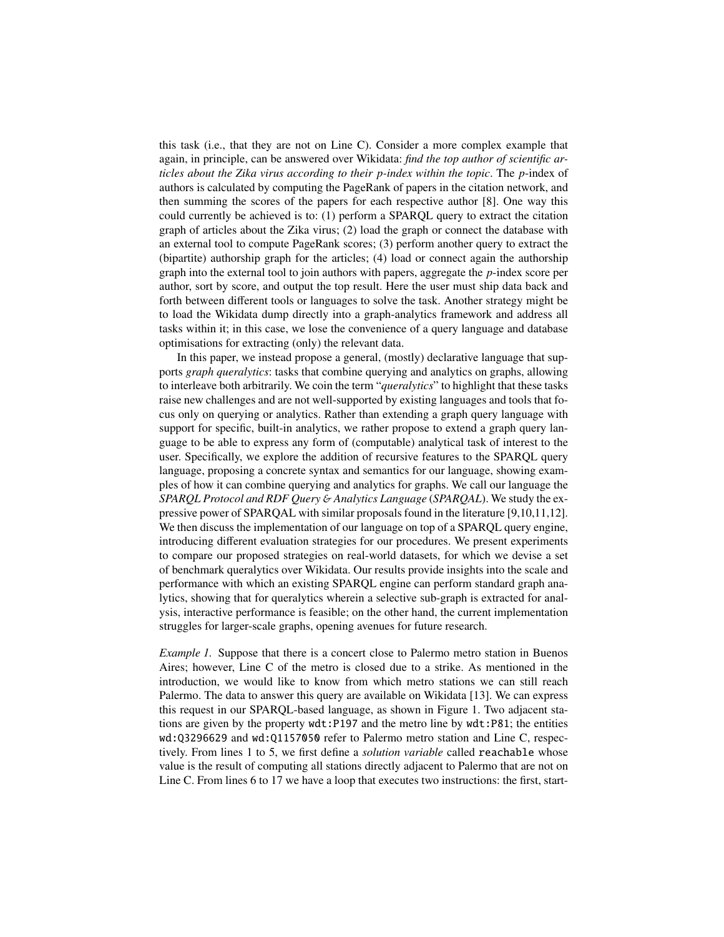this task (i.e., that they are not on Line C). Consider a more complex example that again, in principle, can be answered over Wikidata: *find the top author of scientific articles about the Zika virus according to their p-index within the topic*. The *p*-index of authors is calculated by computing the PageRank of papers in the citation network, and then summing the scores of the papers for each respective author [\[8\]](#page-15-7). One way this could currently be achieved is to: (1) perform a SPARQL query to extract the citation graph of articles about the Zika virus; (2) load the graph or connect the database with an external tool to compute PageRank scores; (3) perform another query to extract the (bipartite) authorship graph for the articles; (4) load or connect again the authorship graph into the external tool to join authors with papers, aggregate the *p*-index score per author, sort by score, and output the top result. Here the user must ship data back and forth between different tools or languages to solve the task. Another strategy might be to load the Wikidata dump directly into a graph-analytics framework and address all tasks within it; in this case, we lose the convenience of a query language and database optimisations for extracting (only) the relevant data.

In this paper, we instead propose a general, (mostly) declarative language that supports *graph queralytics*: tasks that combine querying and analytics on graphs, allowing to interleave both arbitrarily. We coin the term "*queralytics*" to highlight that these tasks raise new challenges and are not well-supported by existing languages and tools that focus only on querying or analytics. Rather than extending a graph query language with support for specific, built-in analytics, we rather propose to extend a graph query language to be able to express any form of (computable) analytical task of interest to the user. Specifically, we explore the addition of recursive features to the SPARQL query language, proposing a concrete syntax and semantics for our language, showing examples of how it can combine querying and analytics for graphs. We call our language the *SPARQL Protocol and RDF Query* & *Analytics Language* (*SPARQAL*). We study the expressive power of SPARQAL with similar proposals found in the literature [\[9](#page-15-8)[,10](#page-15-9)[,11](#page-15-10)[,12\]](#page-15-11). We then discuss the implementation of our language on top of a SPARQL query engine, introducing different evaluation strategies for our procedures. We present experiments to compare our proposed strategies on real-world datasets, for which we devise a set of benchmark queralytics over Wikidata. Our results provide insights into the scale and performance with which an existing SPARQL engine can perform standard graph analytics, showing that for queralytics wherein a selective sub-graph is extracted for analysis, interactive performance is feasible; on the other hand, the current implementation struggles for larger-scale graphs, opening avenues for future research.

<span id="page-1-0"></span>*Example 1.* Suppose that there is a concert close to Palermo metro station in Buenos Aires; however, Line C of the metro is closed due to a strike. As mentioned in the introduction, we would like to know from which metro stations we can still reach Palermo. The data to answer this query are available on Wikidata [\[13\]](#page-15-12). We can express this request in our SPARQL-based language, as shown in Figure [1.](#page-2-0) Two adjacent stations are given by the property wdt:P197 and the metro line by wdt:P81; the entities wd:Q3296629 and wd:Q1157050 refer to Palermo metro station and Line C, respectively. From lines 1 to 5, we first define a *solution variable* called reachable whose value is the result of computing all stations directly adjacent to Palermo that are not on Line C. From lines 6 to 17 we have a loop that executes two instructions: the first, start-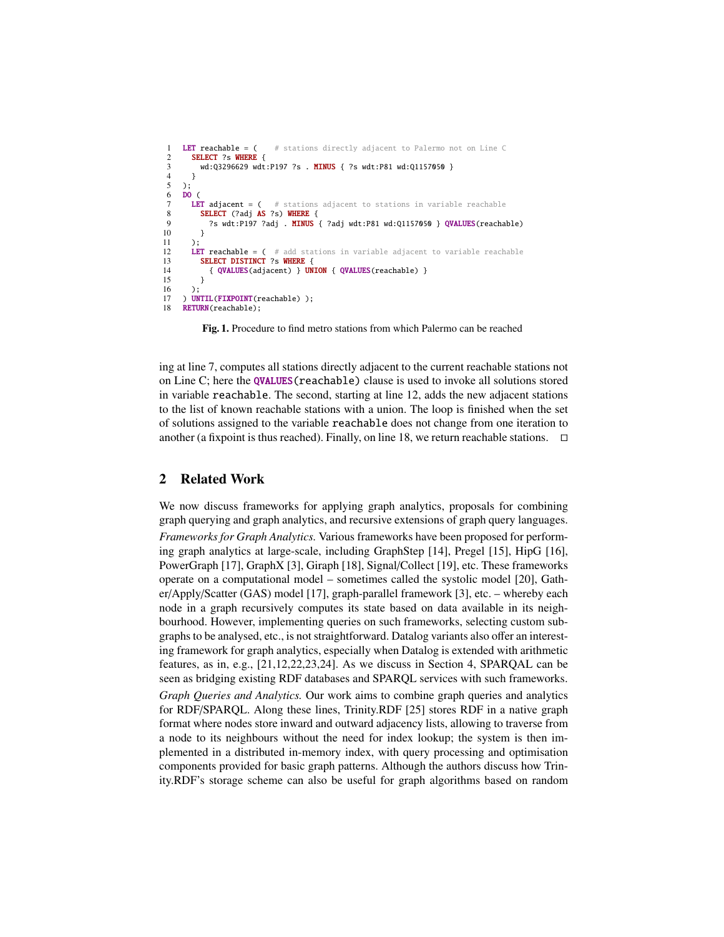```
1 LET reachable = ( # stations directly adjacent to Palermo not on Line C<br>2 SELECT ?s WHERE {
       SELECT ?s WHERE {
3 wd:Q3296629 wdt:P197 ?s . MINUS { ?s wdt:P81 wd:Q1157050 }
\begin{matrix} 4 & 3 \\ 5 & 3 \end{matrix}\rightarrow:
6 DO (
7 LET adjacent = ( # stations adjacent to stations in variable reachable
8 SELECT (?adj AS ?s) WHERE {
9 ?s wdt:P197 ?adj . MINUS { ?adj wdt:P81 wd:Q1157050 } QVALUES(reachable)
10 }
\frac{11}{12} );
12 LET reachable = ( \# add stations in variable adjacent to variable reachable<br>13 SEIECT DISTINCT 25 WHERE 5
13 SELECT DISTINCT ?s WHERE {<br>14 ( OVALUES (adjacent) } UNI
            14 { QVALUES(adjacent) } UNION { QVALUES(reachable) }
15 }
\frac{16}{17} );<br>\frac{16}{17} ) UN
     ) UNTIL(FIXPOINT(reachable) );
18 RETURN(reachable);
```
<span id="page-2-0"></span>Fig. 1. Procedure to find metro stations from which Palermo can be reached

ing at line 7, computes all stations directly adjacent to the current reachable stations not on Line C; here the QVALUES(reachable) clause is used to invoke all solutions stored in variable reachable. The second, starting at line 12, adds the new adjacent stations to the list of known reachable stations with a union. The loop is finished when the set of solutions assigned to the variable reachable does not change from one iteration to another (a fixpoint is thus reached). Finally, on line 18, we return reachable stations.  $\Box$ 

# <span id="page-2-1"></span>2 Related Work

We now discuss frameworks for applying graph analytics, proposals for combining graph querying and graph analytics, and recursive extensions of graph query languages.

*Frameworks for Graph Analytics.* Various frameworks have been proposed for performing graph analytics at large-scale, including GraphStep [\[14\]](#page-15-13), Pregel [\[15\]](#page-15-14), HipG [\[16\]](#page-15-15), PowerGraph [\[17\]](#page-15-16), GraphX [\[3\]](#page-15-2), Giraph [\[18\]](#page-16-0), Signal/Collect [\[19\]](#page-16-1), etc. These frameworks operate on a computational model – sometimes called the systolic model [\[20\]](#page-16-2), Gather/Apply/Scatter (GAS) model [\[17\]](#page-15-16), graph-parallel framework [\[3\]](#page-15-2), etc. – whereby each node in a graph recursively computes its state based on data available in its neighbourhood. However, implementing queries on such frameworks, selecting custom subgraphs to be analysed, etc., is not straightforward. Datalog variants also offer an interesting framework for graph analytics, especially when Datalog is extended with arithmetic features, as in, e.g., [\[21](#page-16-3)[,12,](#page-15-11)[22,](#page-16-4)[23,](#page-16-5)[24\]](#page-16-6). As we discuss in Section [4,](#page-9-0) SPARQAL can be seen as bridging existing RDF databases and SPARQL services with such frameworks. *Graph Queries and Analytics.* Our work aims to combine graph queries and analytics for RDF/SPARQL. Along these lines, Trinity.RDF [\[25\]](#page-16-7) stores RDF in a native graph format where nodes store inward and outward adjacency lists, allowing to traverse from a node to its neighbours without the need for index lookup; the system is then implemented in a distributed in-memory index, with query processing and optimisation components provided for basic graph patterns. Although the authors discuss how Trinity.RDF's storage scheme can also be useful for graph algorithms based on random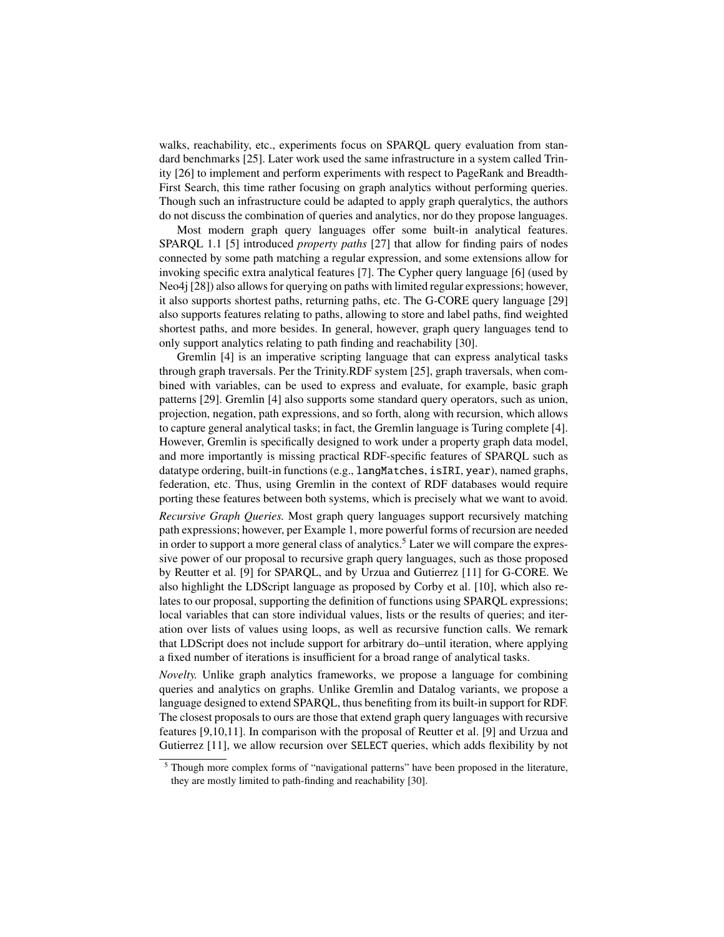walks, reachability, etc., experiments focus on SPARQL query evaluation from standard benchmarks [\[25\]](#page-16-7). Later work used the same infrastructure in a system called Trinity [\[26\]](#page-16-8) to implement and perform experiments with respect to PageRank and Breadth-First Search, this time rather focusing on graph analytics without performing queries. Though such an infrastructure could be adapted to apply graph queralytics, the authors do not discuss the combination of queries and analytics, nor do they propose languages.

Most modern graph query languages offer some built-in analytical features. SPARQL 1.1 [\[5\]](#page-15-4) introduced *property paths* [\[27\]](#page-16-9) that allow for finding pairs of nodes connected by some path matching a regular expression, and some extensions allow for invoking specific extra analytical features [\[7\]](#page-15-6). The Cypher query language [\[6\]](#page-15-5) (used by Neo4j [\[28\]](#page-16-10)) also allows for querying on paths with limited regular expressions; however, it also supports shortest paths, returning paths, etc. The G-CORE query language [\[29\]](#page-16-11) also supports features relating to paths, allowing to store and label paths, find weighted shortest paths, and more besides. In general, however, graph query languages tend to only support analytics relating to path finding and reachability [\[30\]](#page-16-12).

Gremlin [\[4\]](#page-15-3) is an imperative scripting language that can express analytical tasks through graph traversals. Per the Trinity.RDF system [\[25\]](#page-16-7), graph traversals, when combined with variables, can be used to express and evaluate, for example, basic graph patterns [\[29\]](#page-16-11). Gremlin [\[4\]](#page-15-3) also supports some standard query operators, such as union, projection, negation, path expressions, and so forth, along with recursion, which allows to capture general analytical tasks; in fact, the Gremlin language is Turing complete [\[4\]](#page-15-3). However, Gremlin is specifically designed to work under a property graph data model, and more importantly is missing practical RDF-specific features of SPARQL such as datatype ordering, built-in functions (e.g., langMatches, isIRI, year), named graphs, federation, etc. Thus, using Gremlin in the context of RDF databases would require porting these features between both systems, which is precisely what we want to avoid.

*Recursive Graph Queries.* Most graph query languages support recursively matching path expressions; however, per Example [1,](#page-1-0) more powerful forms of recursion are needed in order to support a more general class of analytics.<sup>[5](#page-3-0)</sup> Later we will compare the expressive power of our proposal to recursive graph query languages, such as those proposed by Reutter et al. [\[9\]](#page-15-8) for SPARQL, and by Urzua and Gutierrez [\[11\]](#page-15-10) for G-CORE. We also highlight the LDScript language as proposed by Corby et al. [\[10\]](#page-15-9), which also relates to our proposal, supporting the definition of functions using SPARQL expressions; local variables that can store individual values, lists or the results of queries; and iteration over lists of values using loops, as well as recursive function calls. We remark that LDScript does not include support for arbitrary do–until iteration, where applying a fixed number of iterations is insufficient for a broad range of analytical tasks.

*Novelty.* Unlike graph analytics frameworks, we propose a language for combining queries and analytics on graphs. Unlike Gremlin and Datalog variants, we propose a language designed to extend SPARQL, thus benefiting from its built-in support for RDF. The closest proposals to ours are those that extend graph query languages with recursive features [\[9,](#page-15-8)[10,](#page-15-9)[11\]](#page-15-10). In comparison with the proposal of Reutter et al. [\[9\]](#page-15-8) and Urzua and Gutierrez [\[11\]](#page-15-10), we allow recursion over SELECT queries, which adds flexibility by not

<span id="page-3-0"></span><sup>&</sup>lt;sup>5</sup> Though more complex forms of "navigational patterns" have been proposed in the literature, they are mostly limited to path-finding and reachability [\[30\]](#page-16-12).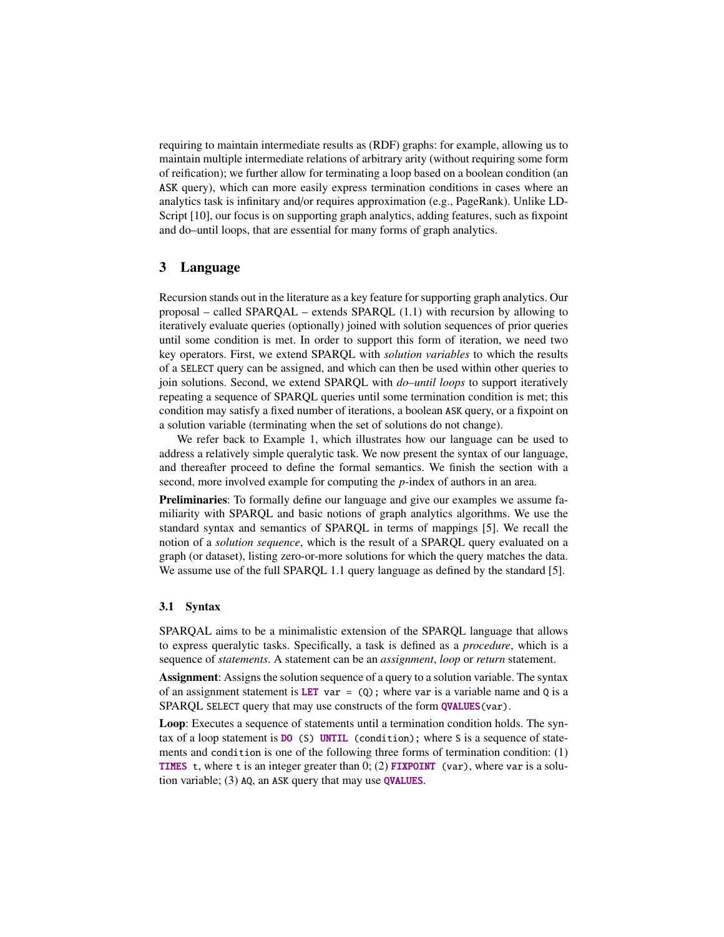requiring to maintain intermediate results as (RDF) graphs: for example, allowing us to maintain multiple intermediate relations of arbitrary arity (without requiring some form of reification); we further allow for terminating a loop based on a boolean condition (an ASK query), which can more easily express termination conditions in cases where an analytics task is infinitary and/or requires approximation (e.g., PageRank). Unlike LD-Script [\[10\]](#page-15-9), our focus is on supporting graph analytics, adding features, such as fixpoint and do–until loops, that are essential for many forms of graph analytics.

# 3 Language

Recursion stands out in the literature as a key feature for supporting graph analytics. Our proposal – called SPARQAL – extends SPARQL (1.1) with recursion by allowing to iteratively evaluate queries (optionally) joined with solution sequences of prior queries until some condition is met. In order to support this form of iteration, we need two key operators. First, we extend SPARQL with *solution variables* to which the results of a SELECT query can be assigned, and which can then be used within other queries to join solutions. Second, we extend SPARQL with *do–until loops* to support iteratively repeating a sequence of SPARQL queries until some termination condition is met; this condition may satisfy a fixed number of iterations, a boolean ASK query, or a fixpoint on a solution variable (terminating when the set of solutions do not change).

We refer back to Example [1,](#page-1-0) which illustrates how our language can be used to address a relatively simple queralytic task. We now present the syntax of our language, and thereafter proceed to define the formal semantics. We finish the section with a second, more involved example for computing the *p*-index of authors in an area.

Preliminaries: To formally define our language and give our examples we assume familiarity with SPARQL and basic notions of graph analytics algorithms. We use the standard syntax and semantics of SPARQL in terms of mappings [\[5\]](#page-15-4). We recall the notion of a *solution sequence*, which is the result of a SPARQL query evaluated on a graph (or dataset), listing zero-or-more solutions for which the query matches the data. We assume use of the full SPAROL 1.1 query language as defined by the standard [\[5\]](#page-15-4).

# 3.1 Syntax

SPARQAL aims to be a minimalistic extension of the SPARQL language that allows to express queralytic tasks. Specifically, a task is defined as a *procedure*, which is a sequence of *statements*. A statement can be an *assignment*, *loop* or *return* statement.

Assignment: Assigns the solution sequence of a query to a solution variable. The syntax of an assignment statement is LET var =  $(Q)$ ; where var is a variable name and Q is a SPARQL SELECT query that may use constructs of the form QVALUES(var).

Loop: Executes a sequence of statements until a termination condition holds. The syntax of a loop statement is DO (S) UNTIL (condition); where S is a sequence of statements and condition is one of the following three forms of termination condition: (1) **TIMES** t, where t is an integer greater than  $0$ ; (2) **FIXPOINT** (var), where var is a solution variable; (3) AQ, an ASK query that may use QVALUES.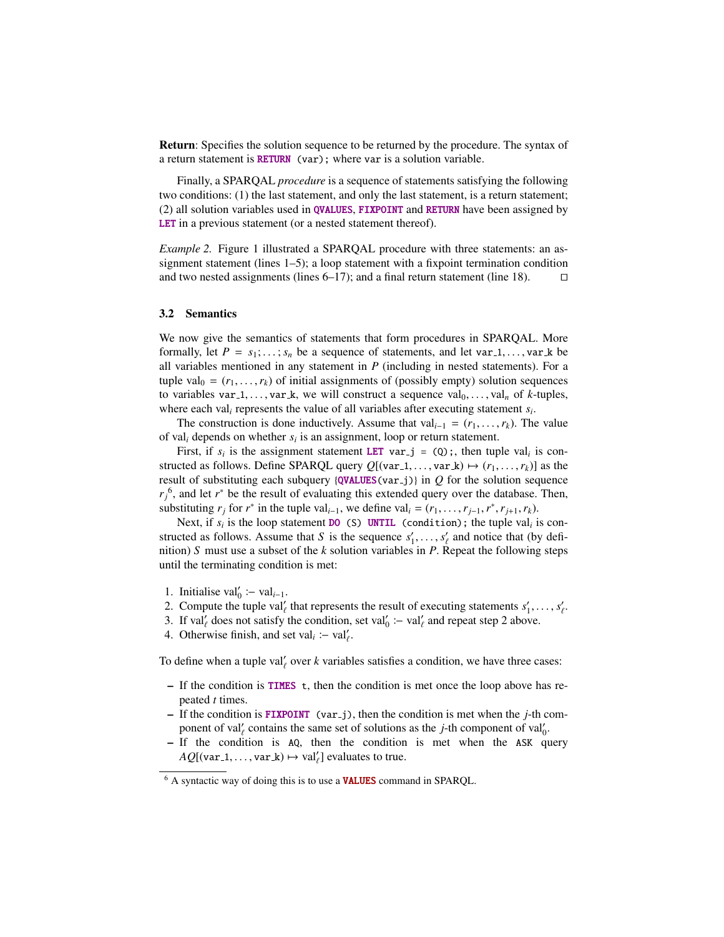Return: Specifies the solution sequence to be returned by the procedure. The syntax of a return statement is RETURN (var); where var is a solution variable.

Finally, a SPARQAL *procedure* is a sequence of statements satisfying the following two conditions: (1) the last statement, and only the last statement, is a return statement; (2) all solution variables used in QVALUES, FIXPOINT and RETURN have been assigned by LET in a previous statement (or a nested statement thereof).

*Example 2.* Figure [1](#page-2-0) illustrated a SPARQAL procedure with three statements: an assignment statement (lines 1–5); a loop statement with a fixpoint termination condition and two nested assignments (lines  $6-17$ ); and a final return statement (line 18).  $\Box$ 

#### 3.2 Semantics

We now give the semantics of statements that form procedures in SPARQAL. More formally, let  $P = s_1; \ldots; s_n$  be a sequence of statements, and let var 1, ..., var k be all variables mentioned in any statement in  $P$  (including in nested statements). For a tuple val<sub>0</sub> =  $(r_1, \ldots, r_k)$  of initial assignments of (possibly empty) solution sequences to variables var  $1, \ldots$ , var k, we will construct a sequence val<sub>0</sub>, ..., val<sub>n</sub> of *k*-tuples, where each val<sub>*i*</sub> represents the value of all variables after executing statement  $s_i$ .

The construction is done inductively. Assume that val<sub>*i*−1</sub> =  $(r_1, \ldots, r_k)$ . The value of val<sub>*i*</sub> depends on whether  $s_i$  is an assignment, loop or return statement.

First, if  $s_i$  is the assignment statement LET var<sub>-1</sub> = (Q);, then tuple val<sub>*i*</sub> is constructed as follows. Define SPARQL query  $O[(var_1, \ldots, var_k) \mapsto (r_1, \ldots, r_k)]$  as the result of substituting each subquery  $\{QVALUES(var_j)\}$  in  $Q$  for the solution sequence  $r_j^6$  $r_j^6$ , and let  $r^*$  be the result of evaluating this extended query over the database. Then, substituting *r<sub>j</sub>* for *r*<sup>\*</sup> in the tuple val<sub>*i*</sub>−1, we define val<sub>*i*</sub> = (*r*<sub>1</sub>, . . . , *r*<sub>*j*−1</sub>, *r*<sup>\*</sup>, *r*<sub>*j*+1</sub>, *r*<sub>*k*</sub>). Next if *s*, is the loop statement DQ (S). INTIL (condition) : the tuple val.

Next, if  $s_i$  is the loop statement **DO** (S) **UNTIL** (condition); the tuple val<sub>*i*</sub> is constructed as follows. Assume that *S* is the sequence  $s'_1, \ldots, s'_\ell$  and notice that (by definition) *S* must use a subset of the *k* solution variables in *P*. Repeat the following steps nition) *S* must use a subset of the  $k$  solution variables in  $P$ . Repeat the following steps until the terminating condition is met:

- 1. Initialise val<sup>'</sup><sub>0</sub> :– val<sub>*i*-1</sub>.
- 2. Compute the tuple val<sub>l</sub> that represents the result of executing statements  $s'_1, \ldots, s'_l$ .<br>3. If yall does not satisfy the condition, set yall in yall and repeat step 2 above
- 3. If val<sub> $\ell$ </sub> does not satisfy the condition, set val<sub>0</sub> :- val<sub> $\ell$ </sub> and repeat step 2 above.
- 4. Otherwise finish, and set val<sub>*i*</sub> :  $-\text{val}_{\ell}$ .

To define when a tuple val<sub> $\ell$ </sub> over  $k$  variables satisfies a condition, we have three cases:

- $-$  If the condition is **TIMES** t, then the condition is met once the loop above has repeated *t* times.
- $-$  If the condition is **FIXPOINT** (var j), then the condition is met when the *j*-th component of val<sub> $\ell$ </sub> contains the same set of solutions as the *j*-th component of val $\ell$ <sub>0</sub>.
- If the condition is AQ, then the condition is met when the ASK query  $AQ[(\text{var}_1, \ldots, \text{var}_k) \mapsto \text{val}'_{\ell}]$  evaluates to true.

<span id="page-5-0"></span> $6$  A syntactic way of doing this is to use a **VALUES** command in SPARQL.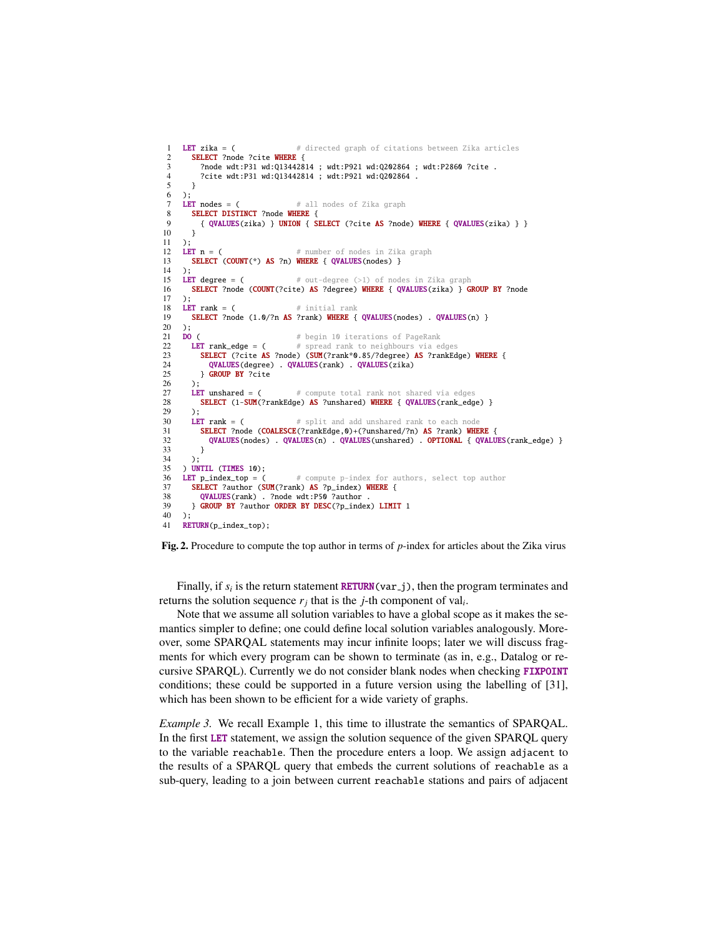```
1 LET zika = ( # directed graph of citations between Zika articles<br>2 SELECT 2node 2cite WHERE {
        SELECT ?node ?cite WHERE {
 3 ?node wdt:P31 wd:Q13442814 ; wdt:P921 wd:Q202864 ; wdt:P2860 ?cite .
 4 ?cite wdt:P31 wd:Q13442814 ; wdt:P921 wd:Q202864 .
        5 }
 6 );
 7 LET nodes = ( # all nodes of Zika graph
 8 SELECT DISTINCT ?node WHERE {
 9 { QVALUES(zika) } UNION { SELECT (?cite AS ?node) WHERE { QVALUES(zika) } }
10 }
11 );<br>12 LET n = 012 LET n = ( # number of nodes in Zika graph<br>13 SELECT (COUNT(*) AS 2n) WHERE 4 OVALUES(nodes) 3
13 SELECT (COUNT(*) AS ?n) WHERE { QVALUES(nodes) }<br>14 ):
14 );<br>15 LET degree = (
                                        # out-degree (>1) of nodes in Zika graph
16 SELECT ?node (COUNT(?cite) AS ?degree) WHERE { QVALUES(zika) } GROUP BY ?node 17 ):
      \cdot18 LET rank = ( # initial rank<br>19 SELECT 2node (1.07n) AS 2rank) WHERE \{SELECT ?node (1.0/?n AS ?rank) WHERE { QVALUES(nodes) . QVALUES(n) }
\begin{matrix} 20 & 3 \\ 21 & 20 \end{matrix};
21 DO (<br>
22 LET rank_edge = (<br>
# spread rank to neighbours via e
22 LET rank_edge = ( # spread rank to neighbours via edges<br>23 SELECT (?cite AS ?node) (SUM(?rank*0.85/?degree) AS ?rankEd
23 SELECT (?cite AS ?node) (SUM(?rank*0.85/?degree) AS ?rankEdge) WHERE {<br>24 0VALUES(degree) 0VALUES(rank) 0VALUES(zika)
24 QVALUES(degree) . QVALUES(rank) . QVALUES(zika)<br>25 GROUP BY ?cite
           25 } GROUP BY ?cite
26 );<br>27 LET unshared = (
27 LET unshared = ( # compute total rank not shared via edges<br>28 SELECT (1-SUM(?rankEdge) AS ?unshared) WHERE { OVALUES(rank edges
28 SELECT (1-SUM(?rankEdge) AS ?unshared) WHERE { QVALUES(rank_edge) }<br>29 ):
29 );<br>30 LET rank = (
30 LET rank = ( # split and add unshared rank to each node<br>31 SELECT ?node (COALESCE(?rankEdge,0)+(?unshared/?n) AS ?rank) WHE
31 SELECT ?node (COALESCE(?rankEdge,0)+(?unshared/?n) AS ?rank) WHERE {<br>32 0VALUES(nodes) . 0VALUES(n) . 0VALUES(unshared) . 0PTIONAL { 0VALU
           QVALUES(nodes) . QVALUES(n) . QVALUES(nshared) . OPTIONAL { QVALUES(rank-edge) }
33 }
34 );<br>35 ) UN
35 ) UNTIL (TIMES 10);<br>36 LET p_index_top = (
36 LET p_index_top = ( \# compute p-index for authors, select top author<br>37 SELECT ?author (SUM(?rank) AS ?p index) WHERE {
37 SELECT ?author (SUM(?rank) AS ?p_index) WHERE {<br>38 OVALUES(rank) . ?node wdt:P50 ?author
38 QVALUES(rank) . ?node wdt:P50 ?author .<br>39 } GROUP BY ?author ORDER BY DESC(?p index
39 } GROUP BY ?author ORDER BY DESC(?p_index) LIMIT 1<br>40 ):
\begin{matrix} 40 & ; 1 \\ 41 & 16 \end{matrix}
      RETURN(p_index_top);
```
<span id="page-6-0"></span>

Finally, if  $s_i$  is the return statement  $RETUREN(var_j)$ , then the program terminates and returns the solution sequence  $r_j$  that is the *j*-th component of val<sub>*i*</sub>.

Note that we assume all solution variables to have a global scope as it makes the semantics simpler to define; one could define local solution variables analogously. Moreover, some SPARQAL statements may incur infinite loops; later we will discuss fragments for which every program can be shown to terminate (as in, e.g., Datalog or recursive SPARQL). Currently we do not consider blank nodes when checking FIXPOINT conditions; these could be supported in a future version using the labelling of [\[31\]](#page-16-13), which has been shown to be efficient for a wide variety of graphs.

*Example 3.* We recall Example [1,](#page-1-0) this time to illustrate the semantics of SPARQAL. In the first LET statement, we assign the solution sequence of the given SPARQL query to the variable reachable. Then the procedure enters a loop. We assign adjacent to the results of a SPARQL query that embeds the current solutions of reachable as a sub-query, leading to a join between current reachable stations and pairs of adjacent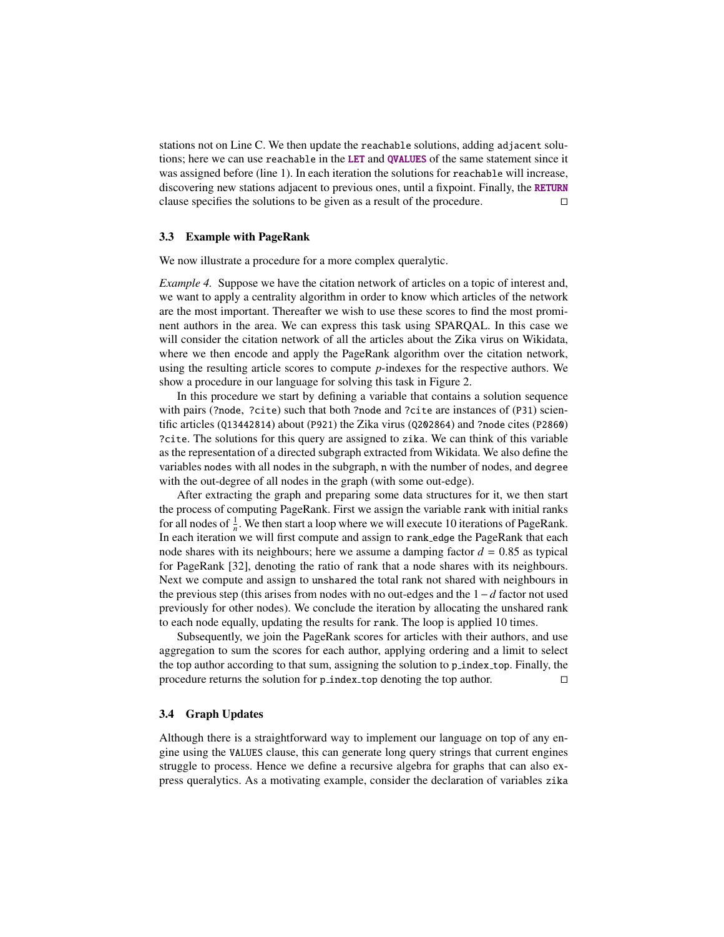stations not on Line C. We then update the reachable solutions, adding adjacent solutions; here we can use reachable in the LET and QVALUES of the same statement since it was assigned before (line 1). In each iteration the solutions for reachable will increase, discovering new stations adjacent to previous ones, until a fixpoint. Finally, the RETURN clause specifies the solutions to be given as a result of the procedure.  $\Box$ 

#### 3.3 Example with PageRank

<span id="page-7-0"></span>We now illustrate a procedure for a more complex queralytic.

*Example 4.* Suppose we have the citation network of articles on a topic of interest and, we want to apply a centrality algorithm in order to know which articles of the network are the most important. Thereafter we wish to use these scores to find the most prominent authors in the area. We can express this task using SPARQAL. In this case we will consider the citation network of all the articles about the Zika virus on Wikidata, where we then encode and apply the PageRank algorithm over the citation network, using the resulting article scores to compute *p*-indexes for the respective authors. We show a procedure in our language for solving this task in Figure [2.](#page-6-0)

In this procedure we start by defining a variable that contains a solution sequence with pairs (?node, ?cite) such that both ?node and ?cite are instances of (P31) scientific articles (Q13442814) about (P921) the Zika virus (Q202864) and ?node cites (P2860) ?cite. The solutions for this query are assigned to zika. We can think of this variable as the representation of a directed subgraph extracted from Wikidata. We also define the variables nodes with all nodes in the subgraph, n with the number of nodes, and degree with the out-degree of all nodes in the graph (with some out-edge).

After extracting the graph and preparing some data structures for it, we then start the process of computing PageRank. First we assign the variable rank with initial ranks for all nodes of  $\frac{1}{n}$ . We then start a loop where we will execute 10 iterations of PageRank. In each iteration we will first compute and assign to rank edge the PageRank that each node shares with its neighbours; here we assume a damping factor  $d = 0.85$  as typical for PageRank [\[32\]](#page-16-14), denoting the ratio of rank that a node shares with its neighbours. Next we compute and assign to unshared the total rank not shared with neighbours in the previous step (this arises from nodes with no out-edges and the 1−*d* factor not used previously for other nodes). We conclude the iteration by allocating the unshared rank to each node equally, updating the results for rank. The loop is applied 10 times.

Subsequently, we join the PageRank scores for articles with their authors, and use aggregation to sum the scores for each author, applying ordering and a limit to select the top author according to that sum, assigning the solution to p\_index\_top. Finally, the procedure returns the solution for  $p$ -index-top denoting the top author.  $\Box$ 

#### <span id="page-7-1"></span>3.4 Graph Updates

Although there is a straightforward way to implement our language on top of any engine using the VALUES clause, this can generate long query strings that current engines struggle to process. Hence we define a recursive algebra for graphs that can also express queralytics. As a motivating example, consider the declaration of variables zika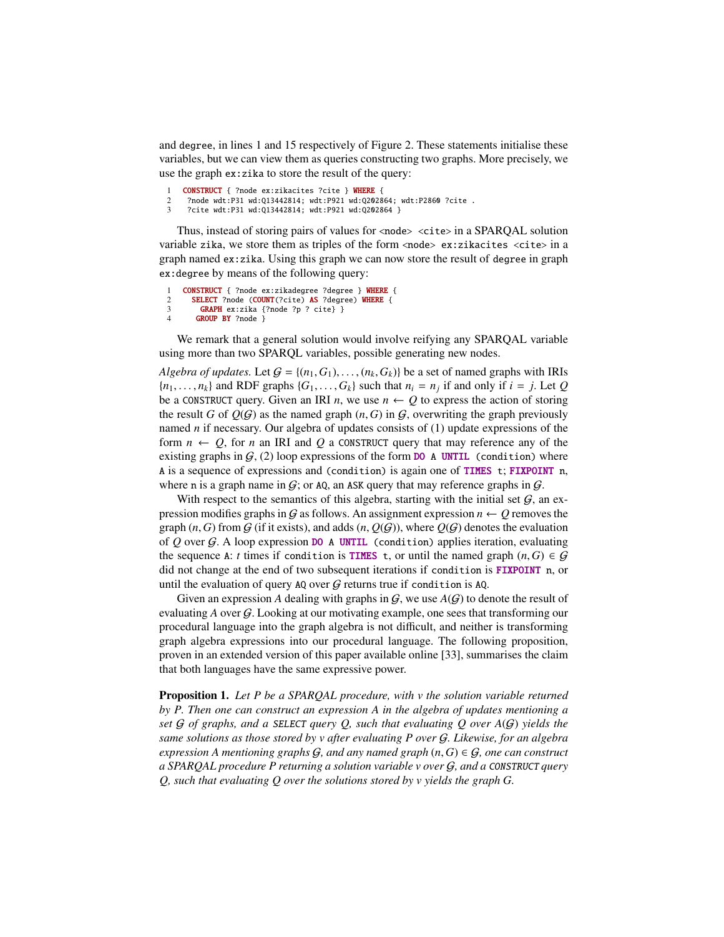and degree, in lines 1 and 15 respectively of Figure [2.](#page-6-0) These statements initialise these variables, but we can view them as queries constructing two graphs. More precisely, we use the graph ex:zika to store the result of the query:

1 CONSTRUCT { ?node ex:zikacites ?cite } WHERE {

2 ?node wdt:P31 wd:Q13442814; wdt:P921 wd:Q202864; wdt:P2860 ?cite . 3 ?cite wdt:P31 wd:Q13442814; wdt:P921 wd:Q202864 }

Thus, instead of storing pairs of values for <node> <cite> in a SPARQAL solution variable zika, we store them as triples of the form <node> ex:zikacites <cite> in a graph named  $ex:zika$ . Using this graph we can now store the result of degree in graph ex:degree by means of the following query:

1 **CONSTRUCT** { ?node ex:zikadegree ?degree } WHERE {<br>2 **SELECT** ?node (COUNT(?cite) AS ?degree) WHERE { 2 SELECT ?node (COUNT(?cite) AS ?degree) WHERE {<br>3 GRAPH ex:zika {?node ?p ? cite} } 3 GRAPH ex:zika {?node ?p ? cite} }<br>4 GROUP BY ?node } GROUP BY ?node }

We remark that a general solution would involve reifying any SPARQAL variable using more than two SPARQL variables, possible generating new nodes.

*Algebra of updates.* Let  $G = \{(n_1, G_1), \ldots, (n_k, G_k)\}$  be a set of named graphs with IRIs  $\{n_1, \ldots, n_k\}$  and RDF graphs  $\{G_1, \ldots, G_k\}$  such that  $n_i = n_j$  if and only if  $i = j$ . Let *Q* be a conservant *Given* an IRI *n*, we use  $n \leftarrow Q$  to express the action of storing be a CONSTRUCT query. Given an IRI *n*, we use  $n \leftarrow Q$  to express the action of storing the result *G* of  $Q(G)$  as the named graph  $(n, G)$  in  $G$ , overwriting the graph previously named *n* if necessary. Our algebra of updates consists of (1) update expressions of the form  $n \leftarrow Q$ , for *n* an IRI and Q a CONSTRUCT query that may reference any of the existing graphs in  $G_1$ , (2) loop expressions of the form DO A UNTIL (condition) where A is a sequence of expressions and (condition) is again one of TIMES t; FIXPOINT n, where n is a graph name in  $G$ ; or AQ, an ASK query that may reference graphs in  $G$ .

With respect to the semantics of this algebra, starting with the initial set  $G$ , an expression modifies graphs in G as follows. An assignment expression  $n \leftarrow Q$  removes the graph  $(n, G)$  from  $G$  (if it exists), and adds  $(n, O(G))$ , where  $O(G)$  denotes the evaluation of  $Q$  over  $G$ . A loop expression **DO** A UNTIL (condition) applies iteration, evaluating the sequence A: *t* times if condition is **TIMES** t, or until the named graph  $(n, G) \in \mathcal{G}$ did not change at the end of two subsequent iterations if condition is FIXPOINT n, or until the evaluation of query AQ over  $G$  returns true if condition is AQ.

Given an expression *A* dealing with graphs in  $G$ , we use  $A(G)$  to denote the result of evaluating *A* over G. Looking at our motivating example, one sees that transforming our procedural language into the graph algebra is not difficult, and neither is transforming graph algebra expressions into our procedural language. The following proposition, proven in an extended version of this paper available online [\[33\]](#page-16-15), summarises the claim that both languages have the same expressive power.

Proposition 1. *Let P be a SPARQAL procedure, with v the solution variable returned by P. Then one can construct an expression A in the algebra of updates mentioning a set* G *of graphs, and a* SELECT *query Q, such that evaluating Q over A*(G) *yields the same solutions as those stored by v after evaluating P over* G*. Likewise, for an algebra*  $expression A mentioning graphs G, and any named graph  $(n, G) \in G$ , one can construct$ *a SPARQAL procedure P returning a solution variable v over* G*, and a* CONSTRUCT *query Q, such that evaluating Q over the solutions stored by v yields the graph G.*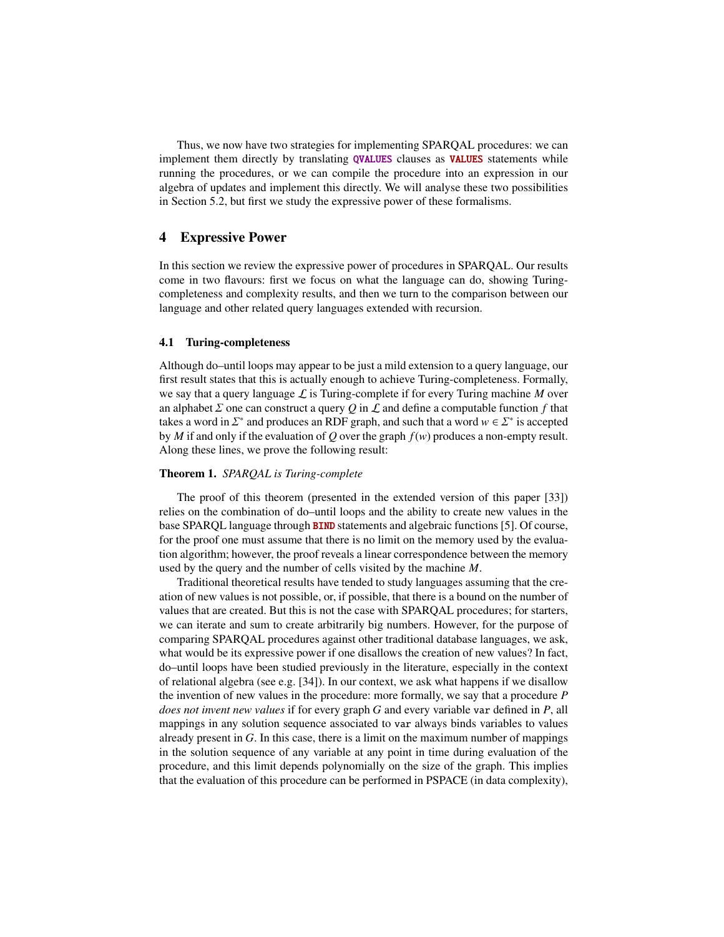Thus, we now have two strategies for implementing SPARQAL procedures: we can implement them directly by translating QVALUES clauses as VALUES statements while running the procedures, or we can compile the procedure into an expression in our algebra of updates and implement this directly. We will analyse these two possibilities in Section [5.2,](#page-13-0) but first we study the expressive power of these formalisms.

# <span id="page-9-0"></span>4 Expressive Power

In this section we review the expressive power of procedures in SPARQAL. Our results come in two flavours: first we focus on what the language can do, showing Turingcompleteness and complexity results, and then we turn to the comparison between our language and other related query languages extended with recursion.

#### 4.1 Turing-completeness

Although do–until loops may appear to be just a mild extension to a query language, our first result states that this is actually enough to achieve Turing-completeness. Formally, we say that a query language  $\mathcal L$  is Turing-complete if for every Turing machine *M* over an alphabet  $\Sigma$  one can construct a query  $\mathcal Q$  in  $\mathcal L$  and define a computable function  $f$  that takes a word in  $\Sigma^*$  and produces an RDF graph, and such that a word  $w \in \Sigma^*$  is accepted<br>by *M* if and only if the evaluation of *O* over the graph  $f(w)$  produces a non-empty result by *M* if and only if the evaluation of *Q* over the graph *f*(*w*) produces a non-empty result. Along these lines, we prove the following result:

#### Theorem 1. *SPARQAL is Turing-complete*

The proof of this theorem (presented in the extended version of this paper [\[33\]](#page-16-15)) relies on the combination of do–until loops and the ability to create new values in the base SPARQL language through BIND statements and algebraic functions [\[5\]](#page-15-4). Of course, for the proof one must assume that there is no limit on the memory used by the evaluation algorithm; however, the proof reveals a linear correspondence between the memory used by the query and the number of cells visited by the machine *M*.

Traditional theoretical results have tended to study languages assuming that the creation of new values is not possible, or, if possible, that there is a bound on the number of values that are created. But this is not the case with SPARQAL procedures; for starters, we can iterate and sum to create arbitrarily big numbers. However, for the purpose of comparing SPARQAL procedures against other traditional database languages, we ask, what would be its expressive power if one disallows the creation of new values? In fact, do–until loops have been studied previously in the literature, especially in the context of relational algebra (see e.g. [\[34\]](#page-16-16)). In our context, we ask what happens if we disallow the invention of new values in the procedure: more formally, we say that a procedure *P does not invent new values* if for every graph *G* and every variable var defined in *P*, all mappings in any solution sequence associated to var always binds variables to values already present in *G*. In this case, there is a limit on the maximum number of mappings in the solution sequence of any variable at any point in time during evaluation of the procedure, and this limit depends polynomially on the size of the graph. This implies that the evaluation of this procedure can be performed in PSPACE (in data complexity),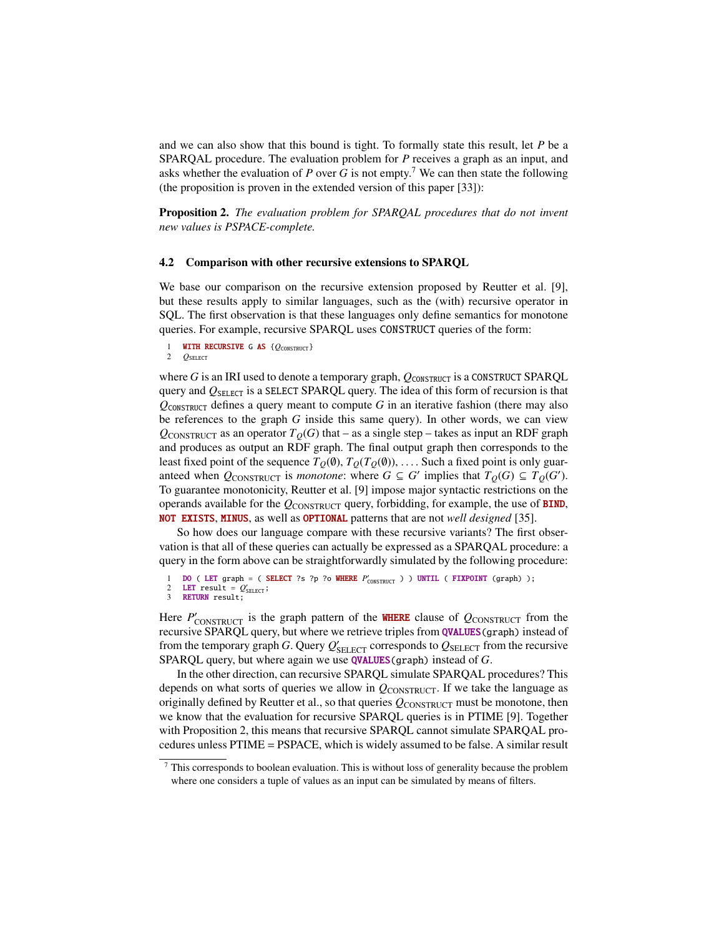and we can also show that this bound is tight. To formally state this result, let *P* be a SPARQAL procedure. The evaluation problem for *P* receives a graph as an input, and asks whether the evaluation of *P* over *G* is not empty.<sup>[7](#page-10-0)</sup> We can then state the following (the proposition is proven in the extended version of this paper [\[33\]](#page-16-15)):

<span id="page-10-1"></span>Proposition 2. *The evaluation problem for SPARQAL procedures that do not invent new values is PSPACE-complete.*

#### 4.2 Comparison with other recursive extensions to SPARQL

We base our comparison on the recursive extension proposed by Reutter et al. [\[9\]](#page-15-8), but these results apply to similar languages, such as the (with) recursive operator in SQL. The first observation is that these languages only define semantics for monotone queries. For example, recursive SPARQL uses CONSTRUCT queries of the form:

1 **WITH RECURSIVE G AS**  ${Q_{\text{CONSTRUCT}}}$ <br>2  $Q_{\text{CFI FCT}}$ 

2 *Q*SELECT

where *G* is an IRI used to denote a temporary graph,  $Q_{\text{CONSTRUCT}}$  is a CONSTRUCT SPARQL query and  $Q_{\text{SELECT}}$  is a SELECT SPARQL query. The idea of this form of recursion is that  $Q_{\text{CONSTRUCT}}$  defines a query meant to compute  $G$  in an iterative fashion (there may also be references to the graph *G* inside this same query). In other words, we can view  $Q_{\text{CONSTRUCT}}$  as an operator  $T_{O}(G)$  that – as a single step – takes as input an RDF graph and produces as output an RDF graph. The final output graph then corresponds to the least fixed point of the sequence  $T_Q(\emptyset)$ ,  $T_Q(T_Q(\emptyset))$ , ... Such a fixed point is only guaranteed when  $Q_{\text{CONSTRUCT}}$  is *monotone*: where  $G \subseteq G'$  implies that  $T_Q(G) \subseteq T_Q(G')$ . To guarantee monotonicity, Reutter et al. [\[9\]](#page-15-8) impose major syntactic restrictions on the operands available for the  $Q_{\text{CONSTRUCT}}$  query, forbidding, for example, the use of BIND, NOT EXISTS, MINUS, as well as OPTIONAL patterns that are not *well designed* [\[35\]](#page-16-17).

So how does our language compare with these recursive variants? The first observation is that all of these queries can actually be expressed as a SPARQAL procedure: a query in the form above can be straightforwardly simulated by the following procedure:

Here  $P'_{\text{CONSTRUCT}}$  is the graph pattern of the WHERE clause of  $Q_{\text{CONSTRUCT}}$  from the recursive SPARQL query, but where we retrieve triples from QVALUES(graph) instead of from the temporary graph *G*. Query  $Q'_{\text{SELECT}}$  corresponds to  $Q_{\text{SELECT}}$  from the recursive SPARQL query, but where again we use QVALUES(graph) instead of *G*.

In the other direction, can recursive SPARQL simulate SPARQAL procedures? This depends on what sorts of queries we allow in  $Q_{\text{CONSTRUCT}}$ . If we take the language as originally defined by Reutter et al., so that queries  $Q_{\text{CONSTRUCT}}$  must be monotone, then we know that the evaluation for recursive SPARQL queries is in PTIME [\[9\]](#page-15-8). Together with Proposition [2,](#page-10-1) this means that recursive SPARQL cannot simulate SPARQAL procedures unless PTIME = PSPACE, which is widely assumed to be false. A similar result

<sup>1</sup> DO ( LET graph = ( **SELECT** ?s ?p ?o WHERE  $P'_{\text{CONSTRUCT}}$  ) ) UNTIL ( FIXPOINT (graph) );

<sup>2</sup> LET result =  $Q'_{\text{SELECT}}$ ; 3 RETURN result;

<span id="page-10-0"></span><sup>7</sup> This corresponds to boolean evaluation. This is without loss of generality because the problem where one considers a tuple of values as an input can be simulated by means of filters.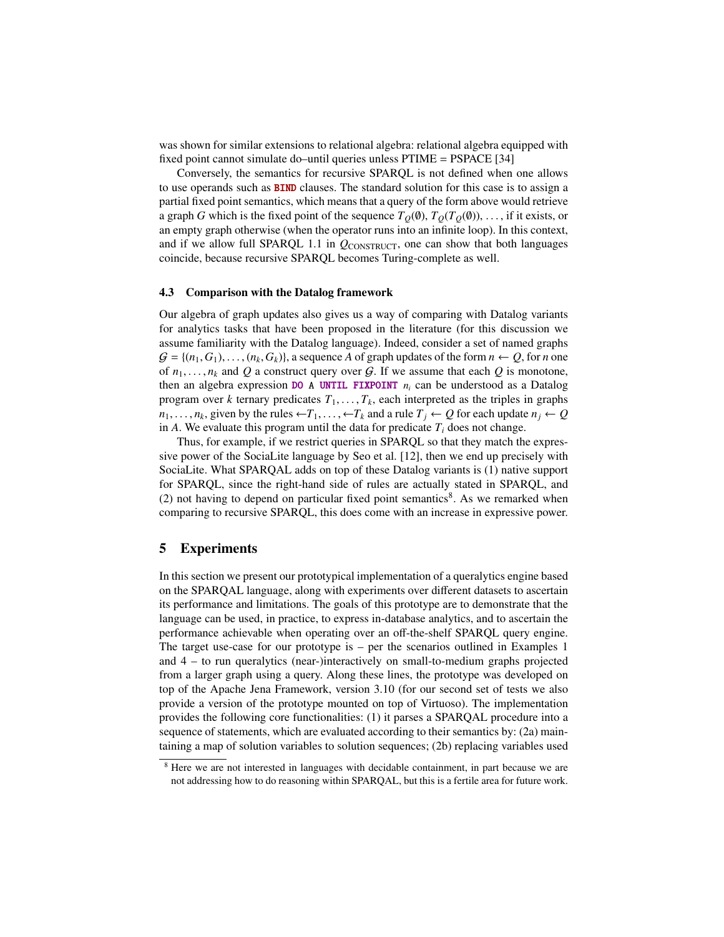was shown for similar extensions to relational algebra: relational algebra equipped with fixed point cannot simulate do–until queries unless PTIME = PSPACE [\[34\]](#page-16-16)

Conversely, the semantics for recursive SPARQL is not defined when one allows to use operands such as BIND clauses. The standard solution for this case is to assign a partial fixed point semantics, which means that a query of the form above would retrieve a graph *G* which is the fixed point of the sequence  $T<sub>O</sub>(0)$ ,  $T<sub>O</sub>(T<sub>O</sub>(0))$ , ..., if it exists, or an empty graph otherwise (when the operator runs into an infinite loop). In this context, and if we allow full SPARQL 1.1 in  $Q_{\text{CONSTRUCT}}$ , one can show that both languages coincide, because recursive SPARQL becomes Turing-complete as well.

#### 4.3 Comparison with the Datalog framework

Our algebra of graph updates also gives us a way of comparing with Datalog variants for analytics tasks that have been proposed in the literature (for this discussion we assume familiarity with the Datalog language). Indeed, consider a set of named graphs  $G = \{(n_1, G_1), \ldots, (n_k, G_k)\}\$ , a sequence A of graph updates of the form  $n \leftarrow Q$ , for *n* one of  $n_1, \ldots, n_k$  and Q a construct query over G. If we assume that each Q is monotone, then an algebra expression  $DO$  A UNTIL FIXPOINT  $n_i$  can be understood as a Datalog program over *k* ternary predicates  $T_1, \ldots, T_k$ , each interpreted as the triples in graphs  $n_1, \ldots, n_k$ , given by the rules  $\leftarrow T_1, \ldots, \leftarrow T_k$  and a rule  $T_j \leftarrow Q$  for each update  $n_j \leftarrow Q$ in *A*. We evaluate this program until the data for predicate  $T_i$  does not change.

Thus, for example, if we restrict queries in SPARQL so that they match the expressive power of the SociaLite language by Seo et al. [\[12\]](#page-15-11), then we end up precisely with SociaLite. What SPARQAL adds on top of these Datalog variants is (1) native support for SPARQL, since the right-hand side of rules are actually stated in SPARQL, and  $(2)$  not having to depend on particular fixed point semantics<sup>[8](#page-11-0)</sup>. As we remarked when comparing to recursive SPARQL, this does come with an increase in expressive power.

# 5 Experiments

In this section we present our prototypical implementation of a queralytics engine based on the SPARQAL language, along with experiments over different datasets to ascertain its performance and limitations. The goals of this prototype are to demonstrate that the language can be used, in practice, to express in-database analytics, and to ascertain the performance achievable when operating over an off-the-shelf SPARQL query engine. The target use-case for our prototype is – per the scenarios outlined in Examples [1](#page-1-0) and [4](#page-7-0) – to run queralytics (near-)interactively on small-to-medium graphs projected from a larger graph using a query. Along these lines, the prototype was developed on top of the Apache Jena Framework, version 3.10 (for our second set of tests we also provide a version of the prototype mounted on top of Virtuoso). The implementation provides the following core functionalities: (1) it parses a SPARQAL procedure into a sequence of statements, which are evaluated according to their semantics by: (2a) maintaining a map of solution variables to solution sequences; (2b) replacing variables used

<span id="page-11-0"></span><sup>&</sup>lt;sup>8</sup> Here we are not interested in languages with decidable containment, in part because we are not addressing how to do reasoning within SPARQAL, but this is a fertile area for future work.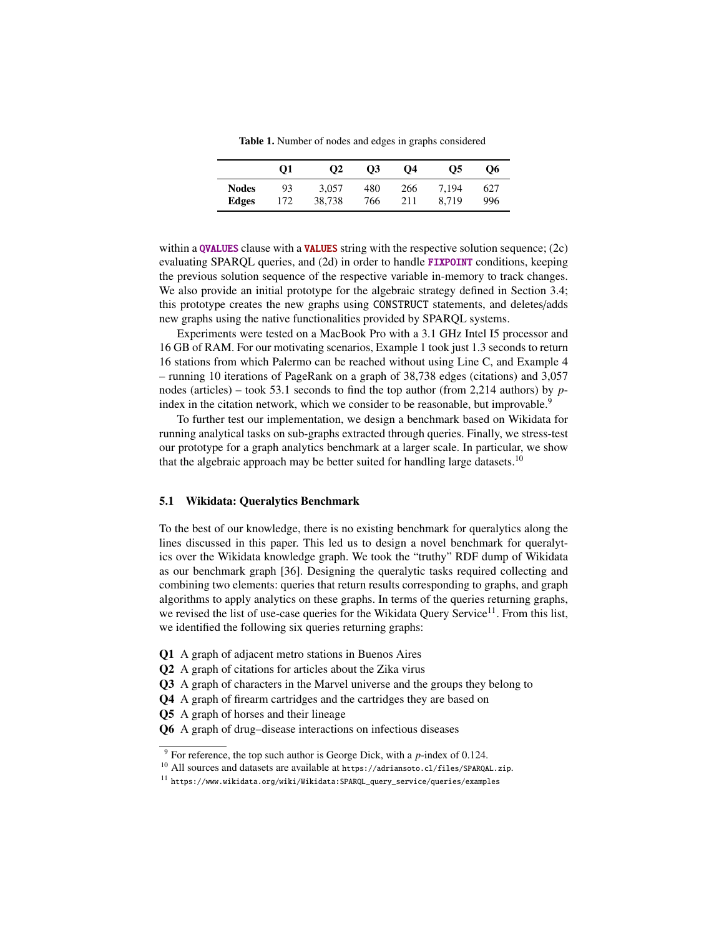<span id="page-12-3"></span>Table 1. Number of nodes and edges in graphs considered

|                       | 01        | $\Omega$        | О3         | О4         | O5             | O6         |
|-----------------------|-----------|-----------------|------------|------------|----------------|------------|
| <b>Nodes</b><br>Edges | 93<br>172 | 3.057<br>38,738 | 480<br>766 | 266<br>211 | 7.194<br>8.719 | 627<br>996 |
|                       |           |                 |            |            |                |            |

within a **QVALUES** clause with a **VALUES** string with the respective solution sequence; (2c) evaluating SPARQL queries, and (2d) in order to handle FIXPOINT conditions, keeping the previous solution sequence of the respective variable in-memory to track changes. We also provide an initial prototype for the algebraic strategy defined in Section [3.4;](#page-7-1) this prototype creates the new graphs using CONSTRUCT statements, and deletes/adds new graphs using the native functionalities provided by SPARQL systems.

Experiments were tested on a MacBook Pro with a 3.1 GHz Intel I5 processor and 16 GB of RAM. For our motivating scenarios, Example [1](#page-1-0) took just 1.3 seconds to return 16 stations from which Palermo can be reached without using Line C, and Example [4](#page-7-0) – running 10 iterations of PageRank on a graph of 38,738 edges (citations) and 3,057 nodes (articles) – took 53.1 seconds to find the top author (from 2,214 authors) by *p*-index in the citation network, which we consider to be reasonable, but improvable.<sup>[9](#page-12-0)</sup>

To further test our implementation, we design a benchmark based on Wikidata for running analytical tasks on sub-graphs extracted through queries. Finally, we stress-test our prototype for a graph analytics benchmark at a larger scale. In particular, we show that the algebraic approach may be better suited for handling large datasets.<sup>[10](#page-12-1)</sup>

#### 5.1 Wikidata: Queralytics Benchmark

To the best of our knowledge, there is no existing benchmark for queralytics along the lines discussed in this paper. This led us to design a novel benchmark for queralytics over the Wikidata knowledge graph. We took the "truthy" RDF dump of Wikidata as our benchmark graph [\[36\]](#page-16-18). Designing the queralytic tasks required collecting and combining two elements: queries that return results corresponding to graphs, and graph algorithms to apply analytics on these graphs. In terms of the queries returning graphs, we revised the list of use-case queries for the Wikidata Query Service<sup>[11](#page-12-2)</sup>. From this list, we identified the following six queries returning graphs:

- Q1 A graph of adjacent metro stations in Buenos Aires
- Q2 A graph of citations for articles about the Zika virus
- Q3 A graph of characters in the Marvel universe and the groups they belong to
- Q4 A graph of firearm cartridges and the cartridges they are based on
- Q5 A graph of horses and their lineage
- Q6 A graph of drug–disease interactions on infectious diseases

<span id="page-12-0"></span><sup>9</sup> For reference, the top such author is George Dick, with a *p*-index of 0.124.

<span id="page-12-1"></span><sup>10</sup> All sources and datasets are available at <https://adriansoto.cl/files/SPARQAL.zip>.

<span id="page-12-2"></span><sup>11</sup> [https://www.wikidata.org/wiki/Wikidata:SPARQL\\_query\\_service/queries/examples](https://www.wikidata.org/wiki/Wikidata:SPARQL_query_service/queries/examples)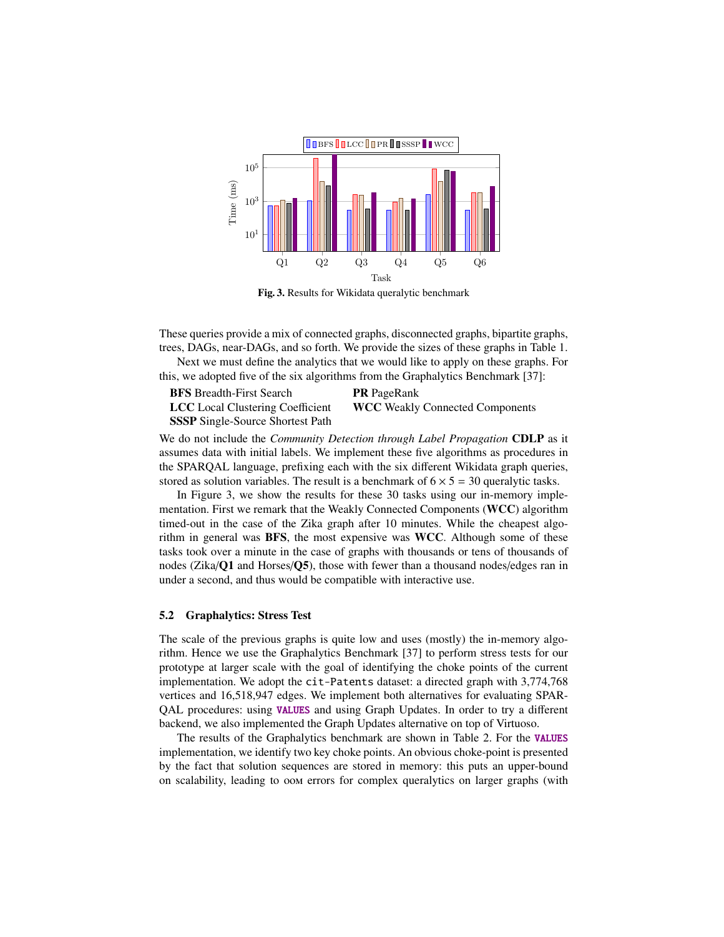

<span id="page-13-1"></span>Fig. 3. Results for Wikidata queralytic benchmark

These queries provide a mix of connected graphs, disconnected graphs, bipartite graphs, trees, DAGs, near-DAGs, and so forth. We provide the sizes of these graphs in Table [1.](#page-12-3)

Next we must define the analytics that we would like to apply on these graphs. For this, we adopted five of the six algorithms from the Graphalytics Benchmark [\[37\]](#page-16-19):

| <b>BFS</b> Breadth-First Search         | <b>PR</b> PageRank                     |
|-----------------------------------------|----------------------------------------|
| <b>LCC</b> Local Clustering Coefficient | <b>WCC</b> Weakly Connected Components |
| <b>SSSP</b> Single-Source Shortest Path |                                        |

We do not include the *Community Detection through Label Propagation* CDLP as it assumes data with initial labels. We implement these five algorithms as procedures in the SPARQAL language, prefixing each with the six different Wikidata graph queries, stored as solution variables. The result is a benchmark of  $6 \times 5 = 30$  queralytic tasks.

In Figure [3,](#page-13-1) we show the results for these 30 tasks using our in-memory implementation. First we remark that the Weakly Connected Components (WCC) algorithm timed-out in the case of the Zika graph after 10 minutes. While the cheapest algorithm in general was BFS, the most expensive was WCC. Although some of these tasks took over a minute in the case of graphs with thousands or tens of thousands of nodes (Zika/Q1 and Horses/Q5), those with fewer than a thousand nodes/edges ran in under a second, and thus would be compatible with interactive use.

#### <span id="page-13-0"></span>5.2 Graphalytics: Stress Test

The scale of the previous graphs is quite low and uses (mostly) the in-memory algorithm. Hence we use the Graphalytics Benchmark [\[37\]](#page-16-19) to perform stress tests for our prototype at larger scale with the goal of identifying the choke points of the current implementation. We adopt the cit-Patents dataset: a directed graph with 3,774,768 vertices and 16,518,947 edges. We implement both alternatives for evaluating SPAR-QAL procedures: using VALUES and using Graph Updates. In order to try a different backend, we also implemented the Graph Updates alternative on top of Virtuoso.

The results of the Graphalytics benchmark are shown in Table [2.](#page-14-0) For the VALUES implementation, we identify two key choke points. An obvious choke-point is presented by the fact that solution sequences are stored in memory: this puts an upper-bound on scalability, leading to oom errors for complex queralytics on larger graphs (with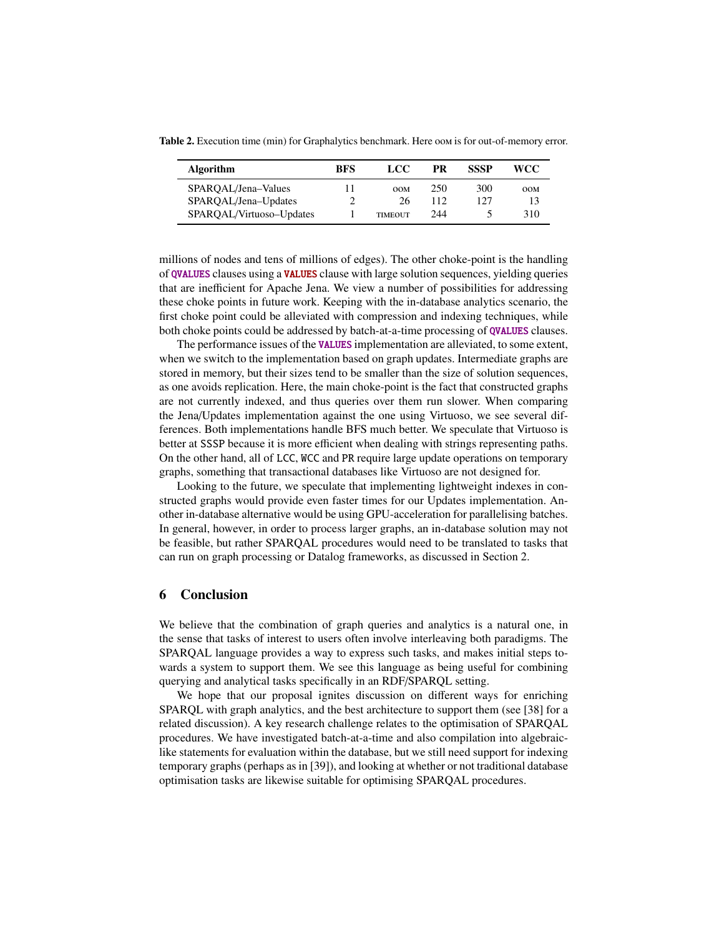Table 2. Execution time (min) for Graphalytics benchmark. Here oom is for out-of-memory error.

<span id="page-14-0"></span>

| <b>Algorithm</b>         | <b>BFS</b> | LCC            | PR  | <b>SSSP</b> | wcc |
|--------------------------|------------|----------------|-----|-------------|-----|
| SPAROAL/Jena-Values      |            | 00M            | 250 | 300         | OOM |
| SPARQAL/Jena-Updates     |            | 26             | 112 | 127         | 13  |
| SPARQAL/Virtuoso-Updates |            | <b>TIMEOUT</b> | 244 |             | 310 |

millions of nodes and tens of millions of edges). The other choke-point is the handling of QVALUES clauses using a VALUES clause with large solution sequences, yielding queries that are inefficient for Apache Jena. We view a number of possibilities for addressing these choke points in future work. Keeping with the in-database analytics scenario, the first choke point could be alleviated with compression and indexing techniques, while both choke points could be addressed by batch-at-a-time processing of QVALUES clauses.

The performance issues of the VALUES implementation are alleviated, to some extent, when we switch to the implementation based on graph updates. Intermediate graphs are stored in memory, but their sizes tend to be smaller than the size of solution sequences, as one avoids replication. Here, the main choke-point is the fact that constructed graphs are not currently indexed, and thus queries over them run slower. When comparing the Jena/Updates implementation against the one using Virtuoso, we see several differences. Both implementations handle BFS much better. We speculate that Virtuoso is better at SSSP because it is more efficient when dealing with strings representing paths. On the other hand, all of LCC, WCC and PR require large update operations on temporary graphs, something that transactional databases like Virtuoso are not designed for.

Looking to the future, we speculate that implementing lightweight indexes in constructed graphs would provide even faster times for our Updates implementation. Another in-database alternative would be using GPU-acceleration for parallelising batches. In general, however, in order to process larger graphs, an in-database solution may not be feasible, but rather SPARQAL procedures would need to be translated to tasks that can run on graph processing or Datalog frameworks, as discussed in Section [2.](#page-2-1)

# 6 Conclusion

We believe that the combination of graph queries and analytics is a natural one, in the sense that tasks of interest to users often involve interleaving both paradigms. The SPARQAL language provides a way to express such tasks, and makes initial steps towards a system to support them. We see this language as being useful for combining querying and analytical tasks specifically in an RDF/SPARQL setting.

We hope that our proposal ignites discussion on different ways for enriching SPARQL with graph analytics, and the best architecture to support them (see [\[38\]](#page-16-20) for a related discussion). A key research challenge relates to the optimisation of SPARQAL procedures. We have investigated batch-at-a-time and also compilation into algebraiclike statements for evaluation within the database, but we still need support for indexing temporary graphs (perhaps as in [\[39\]](#page-16-21)), and looking at whether or not traditional database optimisation tasks are likewise suitable for optimising SPARQAL procedures.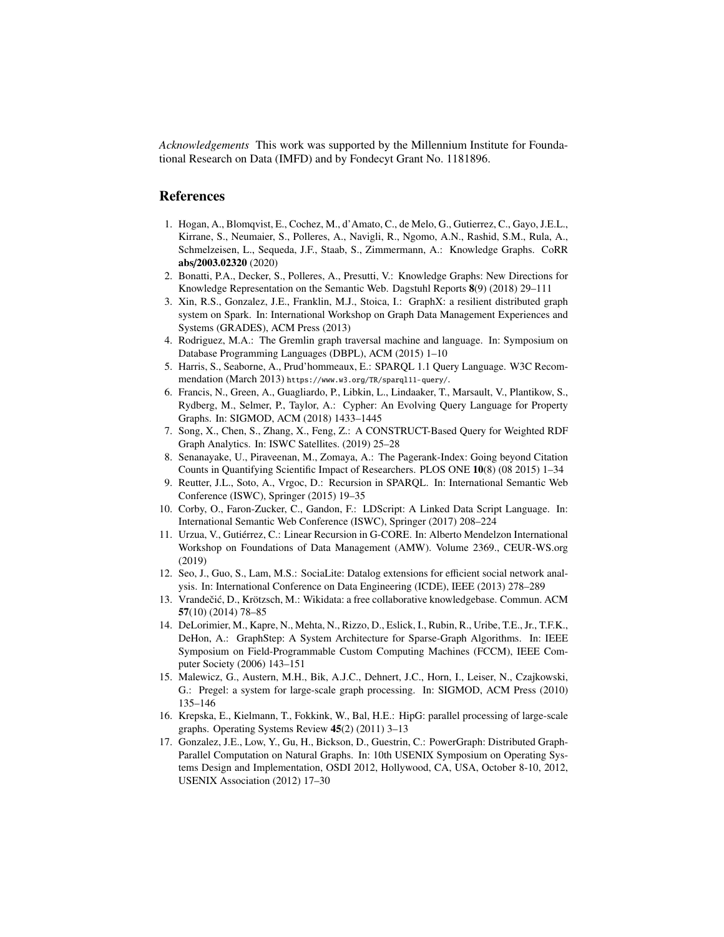*Acknowledgements* This work was supported by the Millennium Institute for Foundational Research on Data (IMFD) and by Fondecyt Grant No. 1181896.

# References

- <span id="page-15-0"></span>1. Hogan, A., Blomqvist, E., Cochez, M., d'Amato, C., de Melo, G., Gutierrez, C., Gayo, J.E.L., Kirrane, S., Neumaier, S., Polleres, A., Navigli, R., Ngomo, A.N., Rashid, S.M., Rula, A., Schmelzeisen, L., Sequeda, J.F., Staab, S., Zimmermann, A.: Knowledge Graphs. CoRR abs/2003.02320 (2020)
- <span id="page-15-1"></span>2. Bonatti, P.A., Decker, S., Polleres, A., Presutti, V.: Knowledge Graphs: New Directions for Knowledge Representation on the Semantic Web. Dagstuhl Reports 8(9) (2018) 29–111
- <span id="page-15-2"></span>3. Xin, R.S., Gonzalez, J.E., Franklin, M.J., Stoica, I.: GraphX: a resilient distributed graph system on Spark. In: International Workshop on Graph Data Management Experiences and Systems (GRADES), ACM Press (2013)
- <span id="page-15-3"></span>4. Rodriguez, M.A.: The Gremlin graph traversal machine and language. In: Symposium on Database Programming Languages (DBPL), ACM (2015) 1–10
- <span id="page-15-4"></span>5. Harris, S., Seaborne, A., Prud'hommeaux, E.: SPARQL 1.1 Query Language. W3C Recommendation (March 2013) <https://www.w3.org/TR/sparql11-query/>.
- <span id="page-15-5"></span>6. Francis, N., Green, A., Guagliardo, P., Libkin, L., Lindaaker, T., Marsault, V., Plantikow, S., Rydberg, M., Selmer, P., Taylor, A.: Cypher: An Evolving Query Language for Property Graphs. In: SIGMOD, ACM (2018) 1433–1445
- <span id="page-15-6"></span>7. Song, X., Chen, S., Zhang, X., Feng, Z.: A CONSTRUCT-Based Query for Weighted RDF Graph Analytics. In: ISWC Satellites. (2019) 25–28
- <span id="page-15-7"></span>8. Senanayake, U., Piraveenan, M., Zomaya, A.: The Pagerank-Index: Going beyond Citation Counts in Quantifying Scientific Impact of Researchers. PLOS ONE 10(8) (08 2015) 1–34
- <span id="page-15-8"></span>9. Reutter, J.L., Soto, A., Vrgoc, D.: Recursion in SPARQL. In: International Semantic Web Conference (ISWC), Springer (2015) 19–35
- <span id="page-15-9"></span>10. Corby, O., Faron-Zucker, C., Gandon, F.: LDScript: A Linked Data Script Language. In: International Semantic Web Conference (ISWC), Springer (2017) 208–224
- <span id="page-15-10"></span>11. Urzua, V., Gutierrez, C.: Linear Recursion in G-CORE. In: Alberto Mendelzon International ´ Workshop on Foundations of Data Management (AMW). Volume 2369., CEUR-WS.org (2019)
- <span id="page-15-11"></span>12. Seo, J., Guo, S., Lam, M.S.: SociaLite: Datalog extensions for efficient social network analysis. In: International Conference on Data Engineering (ICDE), IEEE (2013) 278–289
- <span id="page-15-12"></span>13. Vrandečić, D., Krötzsch, M.: Wikidata: a free collaborative knowledgebase. Commun. ACM 57(10) (2014) 78–85
- <span id="page-15-13"></span>14. DeLorimier, M., Kapre, N., Mehta, N., Rizzo, D., Eslick, I., Rubin, R., Uribe, T.E., Jr., T.F.K., DeHon, A.: GraphStep: A System Architecture for Sparse-Graph Algorithms. In: IEEE Symposium on Field-Programmable Custom Computing Machines (FCCM), IEEE Computer Society (2006) 143–151
- <span id="page-15-14"></span>15. Malewicz, G., Austern, M.H., Bik, A.J.C., Dehnert, J.C., Horn, I., Leiser, N., Czajkowski, G.: Pregel: a system for large-scale graph processing. In: SIGMOD, ACM Press (2010) 135–146
- <span id="page-15-15"></span>16. Krepska, E., Kielmann, T., Fokkink, W., Bal, H.E.: HipG: parallel processing of large-scale graphs. Operating Systems Review 45(2) (2011) 3–13
- <span id="page-15-16"></span>17. Gonzalez, J.E., Low, Y., Gu, H., Bickson, D., Guestrin, C.: PowerGraph: Distributed Graph-Parallel Computation on Natural Graphs. In: 10th USENIX Symposium on Operating Systems Design and Implementation, OSDI 2012, Hollywood, CA, USA, October 8-10, 2012, USENIX Association (2012) 17–30